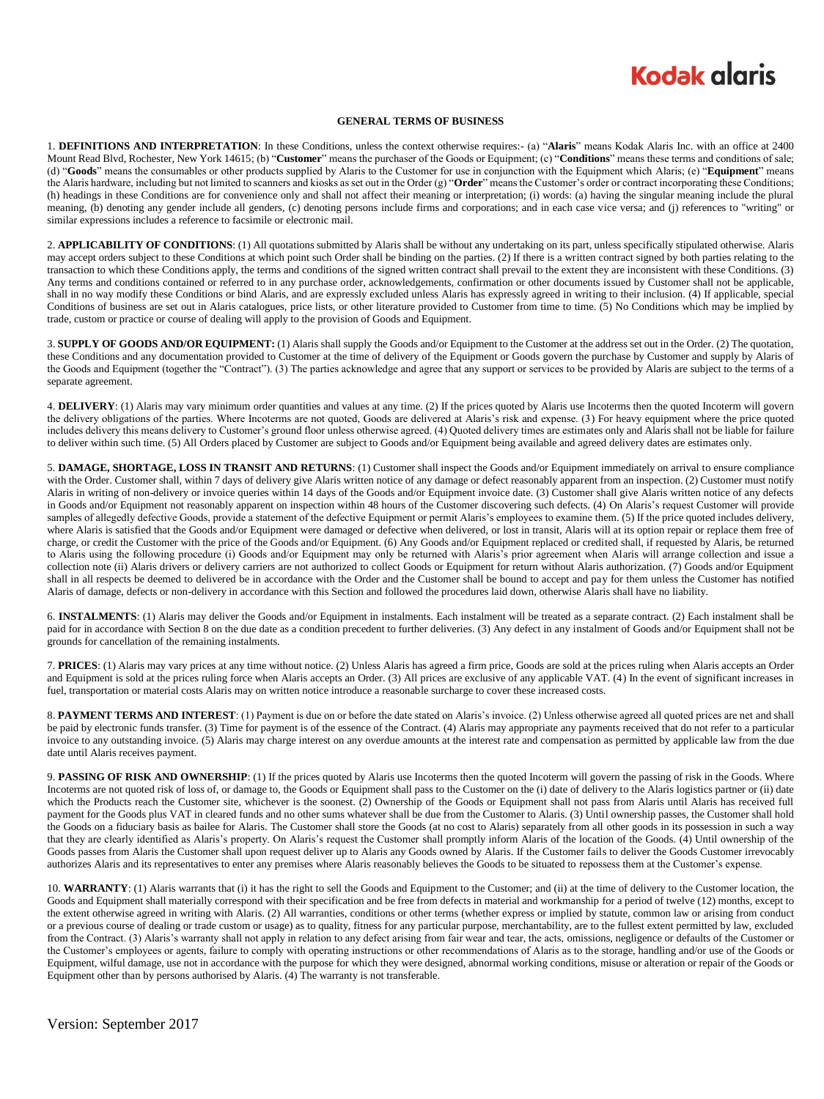## **Kodak glgris**

## **GENERAL TERMS OF BUSINESS**

1. **DEFINITIONS AND INTERPRETATION**: In these Conditions, unless the context otherwise requires:- (a) "**Alaris**" means Kodak Alaris Inc. with an office at 2400 Mount Read Blvd, Rochester, New York 14615; (b) "**Customer**" means the purchaser of the Goods or Equipment; (c) "**Conditions**" means these terms and conditions of sale; (d) "**Goods**" means the consumables or other products supplied by Alaris to the Customer for use in conjunction with the Equipment which Alaris; (e) "**Equipment**" means the Alaris hardware, including but not limited to scanners and kiosks as set out in the Order (g) "**Order**" means the Customer's order or contract incorporating these Conditions; (h) headings in these Conditions are for convenience only and shall not affect their meaning or interpretation; (i) words: (a) having the singular meaning include the plural meaning, (b) denoting any gender include all genders, (c) denoting persons include firms and corporations; and in each case vice versa; and (j) references to "writing" or similar expressions includes a reference to facsimile or electronic mail.

2. **APPLICABILITY OF CONDITIONS**: (1) All quotations submitted by Alaris shall be without any undertaking on its part, unless specifically stipulated otherwise. Alaris may accept orders subject to these Conditions at which point such Order shall be binding on the parties. (2) If there is a written contract signed by both parties relating to the transaction to which these Conditions apply, the terms and conditions of the signed written contract shall prevail to the extent they are inconsistent with these Conditions. (3) Any terms and conditions contained or referred to in any purchase order, acknowledgements, confirmation or other documents issued by Customer shall not be applicable, shall in no way modify these Conditions or bind Alaris, and are expressly excluded unless Alaris has expressly agreed in writing to their inclusion. (4) If applicable, special Conditions of business are set out in Alaris catalogues, price lists, or other literature provided to Customer from time to time. (5) No Conditions which may be implied by trade, custom or practice or course of dealing will apply to the provision of Goods and Equipment.

3. **SUPPLY OF GOODS AND/OR EQUIPMENT:** (1) Alaris shall supply the Goods and/or Equipment to the Customer at the address set out in the Order. (2) The quotation, these Conditions and any documentation provided to Customer at the time of delivery of the Equipment or Goods govern the purchase by Customer and supply by Alaris of the Goods and Equipment (together the "Contract"). (3) The parties acknowledge and agree that any support or services to be provided by Alaris are subject to the terms of a separate agreement.

4. **DELIVERY**: (1) Alaris may vary minimum order quantities and values at any time. (2) If the prices quoted by Alaris use Incoterms then the quoted Incoterm will govern the delivery obligations of the parties. Where Incoterms are not quoted, Goods are delivered at Alaris's risk and expense. (3) For heavy equipment where the price quoted includes delivery this means delivery to Customer's ground floor unless otherwise agreed. (4) Quoted delivery times are estimates only and Alaris shall not be liable for failure to deliver within such time. (5) All Orders placed by Customer are subject to Goods and/or Equipment being available and agreed delivery dates are estimates only.

5. **DAMAGE, SHORTAGE, LOSS IN TRANSIT AND RETURNS**: (1) Customer shall inspect the Goods and/or Equipment immediately on arrival to ensure compliance with the Order. Customer shall, within 7 days of delivery give Alaris written notice of any damage or defect reasonably apparent from an inspection. (2) Customer must notify Alaris in writing of non-delivery or invoice queries within 14 days of the Goods and/or Equipment invoice date. (3) Customer shall give Alaris written notice of any defects in Goods and/or Equipment not reasonably apparent on inspection within 48 hours of the Customer discovering such defects. (4) On Alaris's request Customer will provide samples of allegedly defective Goods, provide a statement of the defective Equipment or permit Alaris's employees to examine them. (5) If the price quoted includes delivery, where Alaris is satisfied that the Goods and/or Equipment were damaged or defective when delivered, or lost in transit, Alaris will at its option repair or replace them free of charge, or credit the Customer with the price of the Goods and/or Equipment. (6) Any Goods and/or Equipment replaced or credited shall, if requested by Alaris, be returned to Alaris using the following procedure (i) Goods and/or Equipment may only be returned with Alaris's prior agreement when Alaris will arrange collection and issue a collection note (ii) Alaris drivers or delivery carriers are not authorized to collect Goods or Equipment for return without Alaris authorization. (7) Goods and/or Equipment shall in all respects be deemed to delivered be in accordance with the Order and the Customer shall be bound to accept and pay for them unless the Customer has notified Alaris of damage, defects or non-delivery in accordance with this Section and followed the procedures laid down, otherwise Alaris shall have no liability.

6. **INSTALMENTS**: (1) Alaris may deliver the Goods and/or Equipment in instalments. Each instalment will be treated as a separate contract. (2) Each instalment shall be paid for in accordance with Section 8 on the due date as a condition precedent to further deliveries. (3) Any defect in any instalment of Goods and/or Equipment shall not be grounds for cancellation of the remaining instalments.

7. **PRICES**: (1) Alaris may vary prices at any time without notice. (2) Unless Alaris has agreed a firm price, Goods are sold at the prices ruling when Alaris accepts an Order and Equipment is sold at the prices ruling force when Alaris accepts an Order. (3) All prices are exclusive of any applicable VAT. (4) In the event of significant increases in fuel, transportation or material costs Alaris may on written notice introduce a reasonable surcharge to cover these increased costs.

8. **PAYMENT TERMS AND INTEREST**: (1) Payment is due on or before the date stated on Alaris's invoice. (2) Unless otherwise agreed all quoted prices are net and shall be paid by electronic funds transfer. (3) Time for payment is of the essence of the Contract. (4) Alaris may appropriate any payments received that do not refer to a particular invoice to any outstanding invoice. (5) Alaris may charge interest on any overdue amounts at the interest rate and compensation as permitted by applicable law from the due date until Alaris receives payment.

9. **PASSING OF RISK AND OWNERSHIP**: (1) If the prices quoted by Alaris use Incoterms then the quoted Incoterm will govern the passing of risk in the Goods. Where Incoterms are not quoted risk of loss of, or damage to, the Goods or Equipment shall pass to the Customer on the (i) date of delivery to the Alaris logistics partner or (ii) date which the Products reach the Customer site, whichever is the soonest. (2) Ownership of the Goods or Equipment shall not pass from Alaris until Alaris has received full payment for the Goods plus VAT in cleared funds and no other sums whatever shall be due from the Customer to Alaris. (3) Until ownership passes, the Customer shall hold the Goods on a fiduciary basis as bailee for Alaris. The Customer shall store the Goods (at no cost to Alaris) separately from all other goods in its possession in such a way that they are clearly identified as Alaris's property. On Alaris's request the Customer shall promptly inform Alaris of the location of the Goods. (4) Until ownership of the Goods passes from Alaris the Customer shall upon request deliver up to Alaris any Goods owned by Alaris. If the Customer fails to deliver the Goods Customer irrevocably authorizes Alaris and its representatives to enter any premises where Alaris reasonably believes the Goods to be situated to repossess them at the Customer's expense.

10. **WARRANTY**: (1) Alaris warrants that (i) it has the right to sell the Goods and Equipment to the Customer; and (ii) at the time of delivery to the Customer location, the Goods and Equipment shall materially correspond with their specification and be free from defects in material and workmanship for a period of twelve (12) months, except to the extent otherwise agreed in writing with Alaris. (2) All warranties, conditions or other terms (whether express or implied by statute, common law or arising from conduct or a previous course of dealing or trade custom or usage) as to quality, fitness for any particular purpose, merchantability, are to the fullest extent permitted by law, excluded from the Contract. (3) Alaris's warranty shall not apply in relation to any defect arising from fair wear and tear, the acts, omissions, negligence or defaults of the Customer or the Customer's employees or agents, failure to comply with operating instructions or other recommendations of Alaris as to the storage, handling and/or use of the Goods or Equipment, wilful damage, use not in accordance with the purpose for which they were designed, abnormal working conditions, misuse or alteration or repair of the Goods or Equipment other than by persons authorised by Alaris. (4) The warranty is not transferable.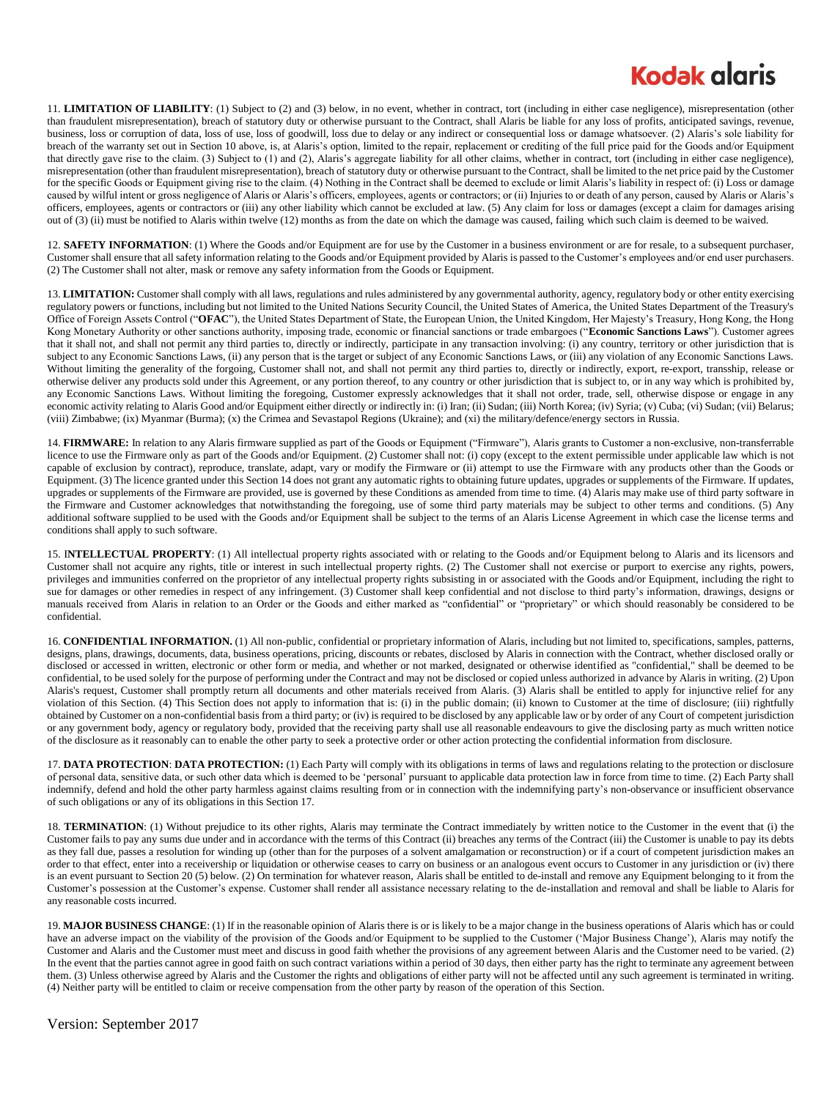## **Kodak glgris**

11. **LIMITATION OF LIABILITY**: (1) Subject to (2) and (3) below, in no event, whether in contract, tort (including in either case negligence), misrepresentation (other than fraudulent misrepresentation), breach of statutory duty or otherwise pursuant to the Contract, shall Alaris be liable for any loss of profits, anticipated savings, revenue, business, loss or corruption of data, loss of use, loss of goodwill, loss due to delay or any indirect or consequential loss or damage whatsoever. (2) Alaris's sole liability for breach of the warranty set out in Section 10 above, is, at Alaris's option, limited to the repair, replacement or crediting of the full price paid for the Goods and/or Equipment that directly gave rise to the claim. (3) Subject to (1) and (2), Alaris's aggregate liability for all other claims, whether in contract, tort (including in either case negligence), misrepresentation (other than fraudulent misrepresentation), breach of statutory duty or otherwise pursuant to the Contract, shall be limited to the net price paid by the Customer for the specific Goods or Equipment giving rise to the claim. (4) Nothing in the Contract shall be deemed to exclude or limit Alaris's liability in respect of: (i) Loss or damage caused by wilful intent or gross negligence of Alaris or Alaris's officers, employees, agents or contractors; or (ii) Injuries to or death of any person, caused by Alaris or Alaris's officers, employees, agents or contractors or (iii) any other liability which cannot be excluded at law. (5) Any claim for loss or damages (except a claim for damages arising out of (3) (ii) must be notified to Alaris within twelve (12) months as from the date on which the damage was caused, failing which such claim is deemed to be waived.

12. **SAFETY INFORMATION**: (1) Where the Goods and/or Equipment are for use by the Customer in a business environment or are for resale, to a subsequent purchaser, Customer shall ensure that all safety information relating to the Goods and/or Equipment provided by Alaris is passed to the Customer's employees and/or end user purchasers. (2) The Customer shall not alter, mask or remove any safety information from the Goods or Equipment.

13. LIMITATION: Customer shall comply with all laws, regulations and rules administered by any governmental authority, agency, regulatory body or other entity exercising regulatory powers or functions, including but not limited to the United Nations Security Council, the United States of America, the United States Department of the Treasury's Office of Foreign Assets Control ("**OFAC**"), the United States Department of State, the European Union, the United Kingdom, Her Majesty's Treasury, Hong Kong, the Hong Kong Monetary Authority or other sanctions authority, imposing trade, economic or financial sanctions or trade embargoes ("**Economic Sanctions Laws**"). Customer agrees that it shall not, and shall not permit any third parties to, directly or indirectly, participate in any transaction involving: (i) any country, territory or other jurisdiction that is subject to any Economic Sanctions Laws, (ii) any person that is the target or subject of any Economic Sanctions Laws, or (iii) any violation of any Economic Sanctions Laws. Without limiting the generality of the forgoing, Customer shall not, and shall not permit any third parties to, directly or indirectly, export, re-export, transship, release or otherwise deliver any products sold under this Agreement, or any portion thereof, to any country or other jurisdiction that is subject to, or in any way which is prohibited by, any Economic Sanctions Laws. Without limiting the foregoing, Customer expressly acknowledges that it shall not order, trade, sell, otherwise dispose or engage in any economic activity relating to Alaris Good and/or Equipment either directly or indirectly in: (i) Iran; (ii) Sudan; (iii) North Korea; (iv) Syria; (v) Cuba; (vi) Sudan; (vii) Belarus; (viii) Zimbabwe; (ix) Myanmar (Burma); (x) the Crimea and Sevastapol Regions (Ukraine); and (xi) the military/defence/energy sectors in Russia.

14. **FIRMWARE:** In relation to any Alaris firmware supplied as part of the Goods or Equipment ("Firmware"), Alaris grants to Customer a non-exclusive, non-transferrable licence to use the Firmware only as part of the Goods and/or Equipment. (2) Customer shall not: (i) copy (except to the extent permissible under applicable law which is not capable of exclusion by contract), reproduce, translate, adapt, vary or modify the Firmware or (ii) attempt to use the Firmware with any products other than the Goods or Equipment. (3) The licence granted under this Section 14 does not grant any automatic rights to obtaining future updates, upgrades or supplements of the Firmware. If updates, upgrades or supplements of the Firmware are provided, use is governed by these Conditions as amended from time to time. (4) Alaris may make use of third party software in the Firmware and Customer acknowledges that notwithstanding the foregoing, use of some third party materials may be subject to other terms and conditions. (5) Any additional software supplied to be used with the Goods and/or Equipment shall be subject to the terms of an Alaris License Agreement in which case the license terms and conditions shall apply to such software.

15. I**NTELLECTUAL PROPERTY**: (1) All intellectual property rights associated with or relating to the Goods and/or Equipment belong to Alaris and its licensors and Customer shall not acquire any rights, title or interest in such intellectual property rights. (2) The Customer shall not exercise or purport to exercise any rights, powers, privileges and immunities conferred on the proprietor of any intellectual property rights subsisting in or associated with the Goods and/or Equipment, including the right to sue for damages or other remedies in respect of any infringement. (3) Customer shall keep confidential and not disclose to third party's information, drawings, designs or manuals received from Alaris in relation to an Order or the Goods and either marked as "confidential" or "proprietary" or which should reasonably be considered to be confidential.

16. **CONFIDENTIAL INFORMATION.** (1) All non-public, confidential or proprietary information of Alaris, including but not limited to, specifications, samples, patterns, designs, plans, drawings, documents, data, business operations, pricing, discounts or rebates, disclosed by Alaris in connection with the Contract, whether disclosed orally or disclosed or accessed in written, electronic or other form or media, and whether or not marked, designated or otherwise identified as "confidential," shall be deemed to be confidential, to be used solely for the purpose of performing under the Contract and may not be disclosed or copied unless authorized in advance by Alaris in writing. (2) Upon Alaris's request, Customer shall promptly return all documents and other materials received from Alaris. (3) Alaris shall be entitled to apply for injunctive relief for any violation of this Section. (4) This Section does not apply to information that is: (i) in the public domain; (ii) known to Customer at the time of disclosure; (iii) rightfully obtained by Customer on a non-confidential basis from a third party; or (iv) is required to be disclosed by any applicable law or by order of any Court of competent jurisdiction or any government body, agency or regulatory body, provided that the receiving party shall use all reasonable endeavours to give the disclosing party as much written notice of the disclosure as it reasonably can to enable the other party to seek a protective order or other action protecting the confidential information from disclosure.

17. **DATA PROTECTION**: **DATA PROTECTION:** (1) Each Party will comply with its obligations in terms of laws and regulations relating to the protection or disclosure of personal data, sensitive data, or such other data which is deemed to be 'personal' pursuant to applicable data protection law in force from time to time. (2) Each Party shall indemnify, defend and hold the other party harmless against claims resulting from or in connection with the indemnifying party's non-observance or insufficient observance of such obligations or any of its obligations in this Section 17.

18. **TERMINATION**: (1) Without prejudice to its other rights, Alaris may terminate the Contract immediately by written notice to the Customer in the event that (i) the Customer fails to pay any sums due under and in accordance with the terms of this Contract (ii) breaches any terms of the Contract (iii) the Customer is unable to pay its debts as they fall due, passes a resolution for winding up (other than for the purposes of a solvent amalgamation or reconstruction) or if a court of competent jurisdiction makes an order to that effect, enter into a receivership or liquidation or otherwise ceases to carry on business or an analogous event occurs to Customer in any jurisdiction or (iv) there is an event pursuant to Section 20 (5) below. (2) On termination for whatever reason, Alaris shall be entitled to de-install and remove any Equipment belonging to it from the Customer's possession at the Customer's expense. Customer shall render all assistance necessary relating to the de-installation and removal and shall be liable to Alaris for any reasonable costs incurred.

19. **MAJOR BUSINESS CHANGE**: (1) If in the reasonable opinion of Alaris there is or is likely to be a major change in the business operations of Alaris which has or could have an adverse impact on the viability of the provision of the Goods and/or Equipment to be supplied to the Customer ('Major Business Change'), Alaris may notify the Customer and Alaris and the Customer must meet and discuss in good faith whether the provisions of any agreement between Alaris and the Customer need to be varied. (2) In the event that the parties cannot agree in good faith on such contract variations within a period of 30 days, then either party has the right to terminate any agreement between them. (3) Unless otherwise agreed by Alaris and the Customer the rights and obligations of either party will not be affected until any such agreement is terminated in writing. (4) Neither party will be entitled to claim or receive compensation from the other party by reason of the operation of this Section.